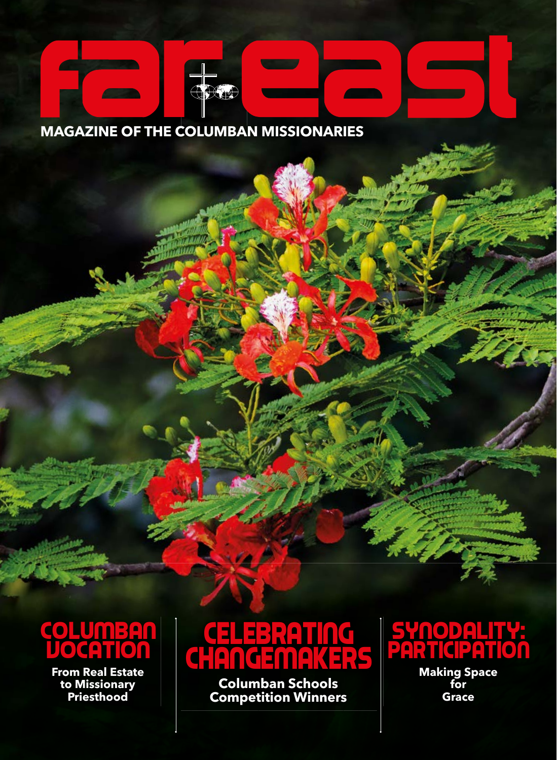### **MAGAZINE OF THE COLUMBAN MISSIONARIES**

CDC



**From Real Estate to Missionary Priesthood**

## Celebrating CHANGEMAKERS

**Columban Schools Competition Winners** 

## SYNODALITY: **PARTICIPATION**

**Making Space for Grace**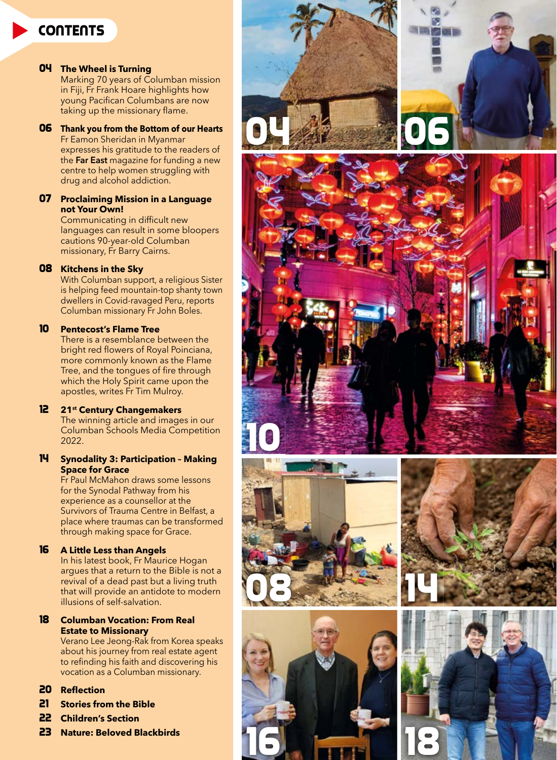#### **CONTENTS**

#### 04 **The Wheel is Turning**

Marking 70 years of Columban mission in Fiji, Fr Frank Hoare highlights how young Pacifican Columbans are now taking up the missionary flame.

#### 06 **Thank you from the Bottom of our Hearts**

Fr Eamon Sheridan in Myanmar expresses his gratitude to the readers of the **Far East** magazine for funding a new centre to help women struggling with drug and alcohol addiction.

#### 07 **Proclaiming Mission in a Language not Your Own!**

Communicating in difficult new languages can result in some bloopers cautions 90-year-old Columban missionary, Fr Barry Cairns.

#### 08 **Kitchens in the Sky**

With Columban support, a religious Sister is helping feed mountain-top shanty town dwellers in Covid-ravaged Peru, reports Columban missionary Fr John Boles.

#### 10 **Pentecost's Flame Tree**

There is a resemblance between the bright red flowers of Royal Poinciana, more commonly known as the Flame Tree, and the tongues of fire through which the Holy Spirit came upon the apostles, writes Fr Tim Mulroy.

#### 12 **21st Century Changemakers**

The winning article and images in our Columban Schools Media Competition 2022.

#### 14 **Synodality 3: Participation – Making Space for Grace**

Fr Paul McMahon draws some lessons for the Synodal Pathway from his experience as a counsellor at the Survivors of Trauma Centre in Belfast, a place where traumas can be transformed through making space for Grace.

#### 16 **A Little Less than Angels**

In his latest book, Fr Maurice Hogan argues that a return to the Bible is not a revival of a dead past but a living truth that will provide an antidote to modern illusions of self-salvation.

#### 18 **Columban Vocation: From Real Estate to Missionary**

Verano Lee Jeong-Rak from Korea speaks about his journey from real estate agent to refinding his faith and discovering his vocation as a Columban missionary.

#### 20 Reflection

- 21 **Stories from the Bible**
- 22 **Children's Section**
- 23 **Nature: Beloved Blackbirds**













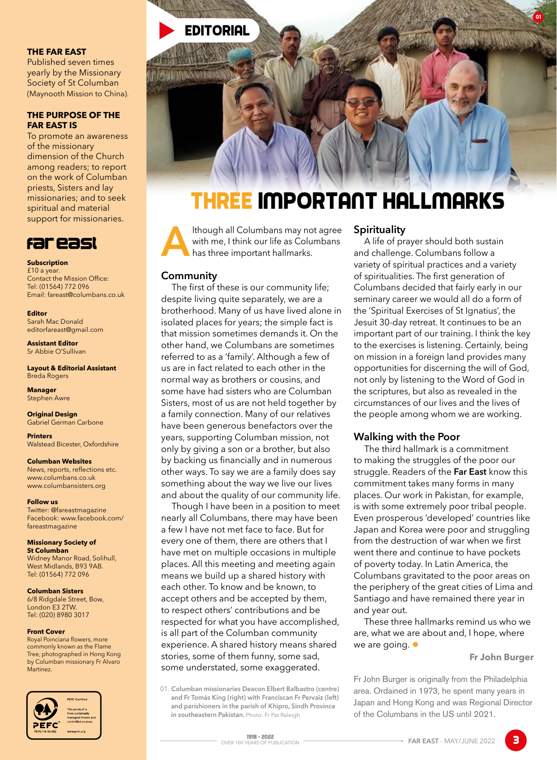

#### **THE FAR EAST**

Published seven times yearly by the Missionary Society of St Columban (Maynooth Mission to China).

#### **THE PURPOSE OF THE FAR EAST IS**

To promote an awareness of the missionary dimension of the Church among readers; to report on the work of Columban priests, Sisters and lay missionaries; and to seek spiritual and material support for missionaries.



**Subscription** £10 a year. Contact the Mission Office: Tel: (01564) 772 096 Email: fareast@columbans.co.uk

**Editor** Sarah Mac Donald editorfareast@gmail.com

**Assistant Editor** Sr Abbie O'Sullivan

**Layout & Editorial Assistant** Breda Rogers

**Manager** Stephen Awre

**Original Design** Gabriel German Carbone

**Printers** Walstead Bicester, Oxfordshire

**Columban Websites** News, reports, reflections etc. www.columbans.co.uk www.columbansisters.org

**Follow us** Twitter: @fareastmagazine Facebook: www.facebook.com/ fareastmagazine

**Missionary Society of St Columban** Widney Manor Road, Solihull, West Midlands, B93 9AB. Tel: (01564) 772 096

**Columban Sisters**

6/8 Ridgdale Street, Bow, London E3 2TW. Tel: (020) 8980 3017

#### **Front Cover**

Royal Poinciana flowers, more commonly known as the Flame Tree, photographed in Hong Kong by Columban missionary Fr Alvaro Martinez.



## Three Important Hallmarks

**A**<br>Ithough all Columbans may not agree<br>with me, I think our life as Columbans<br>has three important hallmarks. with me, I think our life as Columbans has three important hallmarks.

#### **Community**

The first of these is our community life; despite living quite separately, we are a brotherhood. Many of us have lived alone in isolated places for years; the simple fact is that mission sometimes demands it. On the other hand, we Columbans are sometimes referred to as a 'family'. Although a few of us are in fact related to each other in the normal way as brothers or cousins, and some have had sisters who are Columban Sisters, most of us are not held together by a family connection. Many of our relatives have been generous benefactors over the years, supporting Columban mission, not only by giving a son or a brother, but also by backing us financially and in numerous other ways. To say we are a family does say something about the way we live our lives and about the quality of our community life.

Though I have been in a position to meet nearly all Columbans, there may have been a few I have not met face to face. But for every one of them, there are others that I have met on multiple occasions in multiple places. All this meeting and meeting again means we build up a shared history with each other. To know and be known, to accept others and be accepted by them, to respect others' contributions and be respected for what you have accomplished, is all part of the Columban community experience. A shared history means shared stories, some of them funny, some sad, some understated, some exaggerated.

01. **Columban missionaries Deacon Elbert Balbastro (centre) and Fr Tomás King (right) with Franciscan Fr Pervaiz (left) and parishioners in the parish of Khipro, Sindh Province in southeastern Pakistan.** Photo: Fr Pat Raleigh

#### **Spirituality**

A life of prayer should both sustain and challenge. Columbans follow a variety of spiritual practices and a variety of spiritualities. The first generation of Columbans decided that fairly early in our seminary career we would all do a form of the 'Spiritual Exercises of St Ignatius', the Jesuit 30-day retreat. It continues to be an important part of our training. I think the key to the exercises is listening. Certainly, being on mission in a foreign land provides many opportunities for discerning the will of God, not only by listening to the Word of God in the scriptures, but also as revealed in the circumstances of our lives and the lives of the people among whom we are working.

01

#### **Walking with the Poor**

The third hallmark is a commitment to making the struggles of the poor our struggle. Readers of the **Far East** know this commitment takes many forms in many places. Our work in Pakistan, for example, is with some extremely poor tribal people. Even prosperous 'developed' countries like Japan and Korea were poor and struggling from the destruction of war when we first went there and continue to have pockets of poverty today. In Latin America, the Columbans gravitated to the poor areas on the periphery of the great cities of Lima and Santiago and have remained there year in and year out.

These three hallmarks remind us who we are, what we are about and, I hope, where we are going.  $\bullet$ 

#### **Fr John Burger**

Fr John Burger is originally from the Philadelphia area. Ordained in 1973, he spent many years in Japan and Hong Kong and was Regional Director of the Columbans in the US until 2021.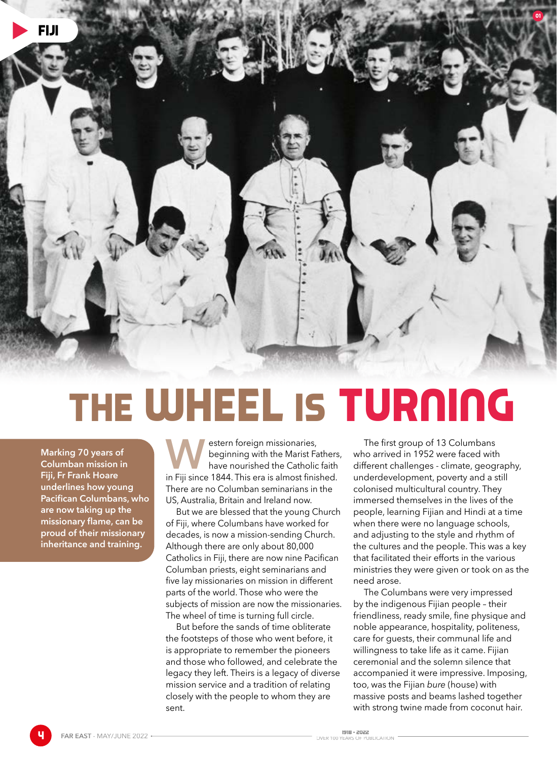

# The Wheel is Turning

**Marking 70 years of Columban mission in Fiji, Fr Frank Hoare underlines how young Pacifican Columbans, who are now taking up the**  missionary flame, can be **proud of their missionary inheritance and training.** 

**WESTERN FOREIGHT STARK SERVISTED MARK SERVISTED STARK SERVIS FOR STARK SERVISTED STARK SERVIS FOR FIG. 18 APROX THE FIG. THE FIG. THE FIG. THE FIG. THE FIG. THE FIG. THE FIG. THE FIG. THE FIG. THE FIG. THE FIG. THE FIG. T** beginning with the Marist Fathers, have nourished the Catholic faith There are no Columban seminarians in the US, Australia, Britain and Ireland now.

But we are blessed that the young Church of Fiji, where Columbans have worked for decades, is now a mission-sending Church. Although there are only about 80,000 Catholics in Fiji, there are now nine Pacifican Columban priests, eight seminarians and five lay missionaries on mission in different parts of the world. Those who were the subjects of mission are now the missionaries. The wheel of time is turning full circle.

But before the sands of time obliterate the footsteps of those who went before, it is appropriate to remember the pioneers and those who followed, and celebrate the legacy they left. Theirs is a legacy of diverse mission service and a tradition of relating closely with the people to whom they are sent.

The first group of 13 Columbans who arrived in 1952 were faced with different challenges - climate, geography, underdevelopment, poverty and a still colonised multicultural country. They immersed themselves in the lives of the people, learning Fijian and Hindi at a time when there were no language schools, and adjusting to the style and rhythm of the cultures and the people. This was a key that facilitated their efforts in the various ministries they were given or took on as the need arose.

The Columbans were very impressed by the indigenous Fijian people – their friendliness, ready smile, fine physique and noble appearance, hospitality, politeness, care for guests, their communal life and willingness to take life as it came. Fijian ceremonial and the solemn silence that accompanied it were impressive. Imposing, too, was the Fijian *bure* (house) with massive posts and beams lashed together with strong twine made from coconut hair.